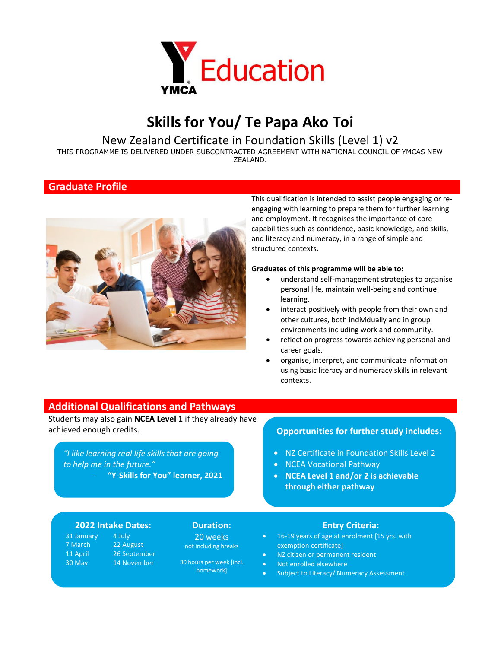

## **Skills for You/ Te Papa Ako Toi**

### New Zealand Certificate in Foundation Skills (Level 1) v2

THIS PROGRAMME IS DELIVERED UNDER SUBCONTRACTED AGREEMENT WITH NATIONAL COUNCIL OF YMCAS NEW ZEALAND.

### **Graduate Profile**



This qualification is intended to assist people engaging or reengaging with learning to prepare them for further learning and employment. It recognises the importance of core capabilities such as confidence, basic knowledge, and skills, and literacy and numeracy, in a range of simple and structured contexts.

### **Graduates of this programme will be able to:**

- understand self-management strategies to organise personal life, maintain well-being and continue learning.
- interact positively with people from their own and other cultures, both individually and in group environments including work and community.
- reflect on progress towards achieving personal and career goals.
- organise, interpret, and communicate information using basic literacy and numeracy skills in relevant contexts.

### **Additional Qualifications and Pathways**

Students may also gain **NCEA Level 1** if they already have achieved enough credits. **Opportunities for further study includes:**

*"I like learning real life skills that are going to help me in the future."* 

- **"Y-Skills for You" learner, 2021**

- NZ Certificate in Foundation Skills Level 2
- NCEA Vocational Pathway
- **NCEA Level 1 and/or 2 is achievable through either pathway**

### **2022 Intake Dates: Duration: Entry Criteria:**

31 January 7 March 11 April 30 May 4 July 22 August 26 September 14 November

20 weeks not including breaks

30 hours per week [incl. homework]

- 16-19 years of age at enrolment [15 yrs. with exemption certificate]
- NZ citizen or permanent resident
- Not enrolled elsewhere
- Subject to Literacy/ Numeracy Assessment